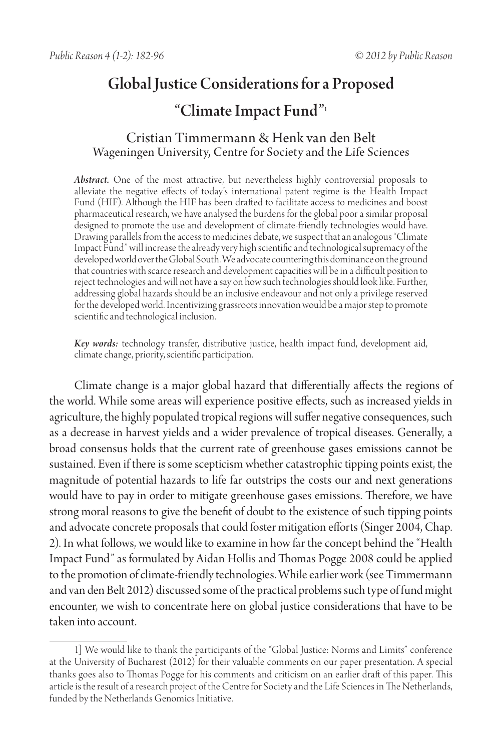# Global Justice Considerations for a Proposed

# "Climate Impact Fund"<sup>1</sup>

# Cristian Timmermann & Henk van den Belt Wageningen University, Centre for Society and the Life Sciences

*Abstract.* One of the most attractive, but nevertheless highly controversial proposals to alleviate the negative effects of today's international patent regime is the Health Impact Fund (HIF). Although the HIF has been drafted to facilitate access to medicines and boost pharmaceutical research, we have analysed the burdens for the global poor a similar proposal designed to promote the use and development of climate-friendly technologies would have. Drawing parallels from the access to medicines debate, we suspect that an analogous "Climate Impact Fund" will increase the already very high scientific and technological supremacy of the developed world over the Global South. We advocate countering this dominance on the ground that countries with scarce research and development capacities will be in a difficult position to reject technologies and will not have a say on how such technologies should look like. Further, addressing global hazards should be an inclusive endeavour and not only a privilege reserved for the developed world. Incentivizing grassroots innovation would be a major step to promote scientific and technological inclusion.

*Key words:* technology transfer, distributive justice, health impact fund, development aid, climate change, priority, scientific participation.

Climate change is a major global hazard that differentially affects the regions of the world. While some areas will experience positive effects, such as increased yields in agriculture, the highly populated tropical regions will suffer negative consequences, such as a decrease in harvest yields and a wider prevalence of tropical diseases. Generally, a broad consensus holds that the current rate of greenhouse gases emissions cannot be sustained. Even if there is some scepticism whether catastrophic tipping points exist, the magnitude of potential hazards to life far outstrips the costs our and next generations would have to pay in order to mitigate greenhouse gases emissions. Therefore, we have strong moral reasons to give the benefit of doubt to the existence of such tipping points and advocate concrete proposals that could foster mitigation efforts (Singer 2004, Chap. 2). In what follows, we would like to examine in how far the concept behind the "Health Impact Fund" as formulated by Aidan Hollis and Thomas Pogge 2008 could be applied to the promotion of climate-friendly technologies. While earlier work (see Timmermann and van den Belt 2012) discussed some of the practical problems such type of fund might encounter, we wish to concentrate here on global justice considerations that have to be taken into account.

<sup>1]</sup> We would like to thank the participants of the "Global Justice: Norms and Limits" conference at the University of Bucharest (2012) for their valuable comments on our paper presentation. A special thanks goes also to Thomas Pogge for his comments and criticism on an earlier draft of this paper. This article is the result of a research project of the Centre for Society and the Life Sciences in The Netherlands, funded by the Netherlands Genomics Initiative.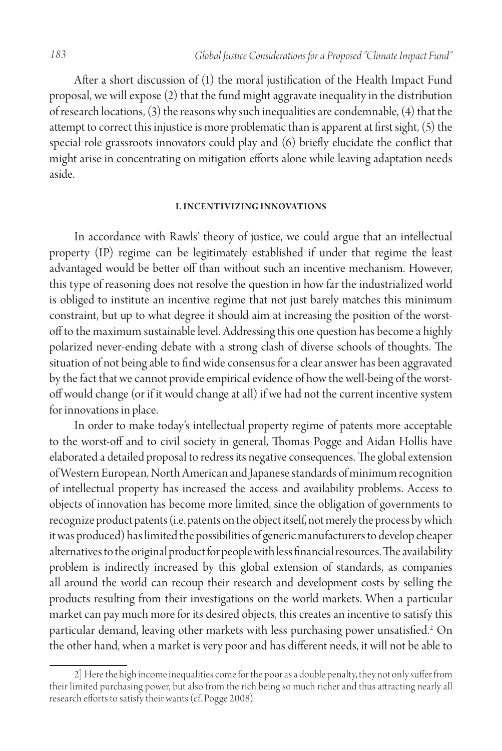After a short discussion of (1) the moral justification of the Health Impact Fund proposal, we will expose (2) that the fund might aggravate inequality in the distribution of research locations, (3) the reasons why such inequalities are condemnable, (4) that the attempt to correct this injustice is more problematic than is apparent at first sight, (5) the special role grassroots innovators could play and (6) briefly elucidate the conflict that might arise in concentrating on mitigation efforts alone while leaving adaptation needs aside.

#### **I. Incentivizing in novations**

In accordance with Rawls' theory of justice, we could argue that an intellectual property (IP) regime can be legitimately established if under that regime the least advantaged would be better off than without such an incentive mechanism. However, this type of reasoning does not resolve the question in how far the industrialized world is obliged to institute an incentive regime that not just barely matches this minimum constraint, but up to what degree it should aim at increasing the position of the worstoff to the maximum sustainable level. Addressing this one question has become a highly polarized never-ending debate with a strong clash of diverse schools of thoughts. The situation of not being able to find wide consensus for a clear answer has been aggravated by the fact that we cannot provide empirical evidence of how the well-being of the worstoff would change (or if it would change at all) if we had not the current incentive system for innovations in place.

In order to make today's intellectual property regime of patents more acceptable to the worst-off and to civil society in general, Thomas Pogge and Aidan Hollis have elaborated a detailed proposal to redress its negative consequences. The global extension of Western European, North American and Japanese standards of minimum recognition of intellectual property has increased the access and availability problems. Access to objects of innovation has become more limited, since the obligation of governments to recognize product patents (i.e. patents on the object itself, not merely the process by which it was produced) has limited the possibilities of generic manufacturers to develop cheaper alternatives to the original product for people with less financial resources. The availability problem is indirectly increased by this global extension of standards, as companies all around the world can recoup their research and development costs by selling the products resulting from their investigations on the world markets. When a particular market can pay much more for its desired objects, this creates an incentive to satisfy this particular demand, leaving other markets with less purchasing power unsatisfied.2 On the other hand, when a market is very poor and has different needs, it will not be able to

<sup>2]</sup> Here the high income inequalities come for the poor as a double penalty, they not only suffer from their limited purchasing power, but also from the rich being so much richer and thus attracting nearly all research efforts to satisfy their wants (cf. Pogge 2008).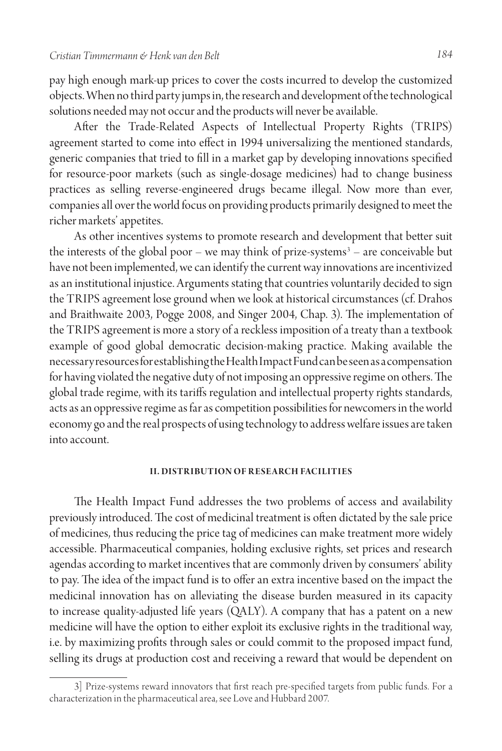pay high enough mark-up prices to cover the costs incurred to develop the customized objects. When no third party jumps in, the research and development of the technological solutions needed may not occur and the products will never be available.

After the Trade-Related Aspects of Intellectual Property Rights (TRIPS) agreement started to come into effect in 1994 universalizing the mentioned standards, generic companies that tried to fill in a market gap by developing innovations specified for resource-poor markets (such as single-dosage medicines) had to change business practices as selling reverse-engineered drugs became illegal. Now more than ever, companies all over the world focus on providing products primarily designed to meet the richer markets' appetites.

As other incentives systems to promote research and development that better suit the interests of the global poor – we may think of prize-systems<sup>3</sup> – are conceivable but have not been implemented, we can identify the current way innovations are incentivized as an institutional injustice. Arguments stating that countries voluntarily decided to sign the TRIPS agreement lose ground when we look at historical circumstances (cf. Drahos and Braithwaite 2003, Pogge 2008, and Singer 2004, Chap. 3). The implementation of the TRIPS agreement is more a story of a reckless imposition of a treaty than a textbook example of good global democratic decision-making practice. Making available the necessary resources for establishing the Health Impact Fund can be seen as a compensation for having violated the negative duty of not imposing an oppressive regime on others. The global trade regime, with its tariffs regulation and intellectual property rights standards, acts as an oppressive regime as far as competition possibilities for newcomers in the world economy go and the real prospects of using technology to address welfare issues are taken into account.

#### **II. DISTRIBUTION OF RESEARCH FACILITIES**

The Health Impact Fund addresses the two problems of access and availability previously introduced. The cost of medicinal treatment is often dictated by the sale price of medicines, thus reducing the price tag of medicines can make treatment more widely accessible. Pharmaceutical companies, holding exclusive rights, set prices and research agendas according to market incentives that are commonly driven by consumers' ability to pay. The idea of the impact fund is to offer an extra incentive based on the impact the medicinal innovation has on alleviating the disease burden measured in its capacity to increase quality-adjusted life years (QALY). A company that has a patent on a new medicine will have the option to either exploit its exclusive rights in the traditional way, i.e. by maximizing profits through sales or could commit to the proposed impact fund, selling its drugs at production cost and receiving a reward that would be dependent on

<sup>3]</sup> Prize-systems reward innovators that first reach pre-specified targets from public funds. For a characterization in the pharmaceutical area, see Love and Hubbard 2007.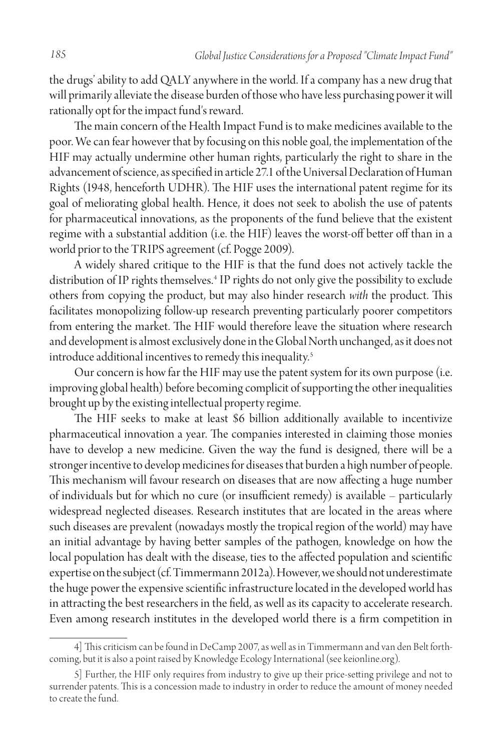the drugs' ability to add QALY anywhere in the world. If a company has a new drug that will primarily alleviate the disease burden of those who have less purchasing power it will rationally opt for the impact fund's reward.

The main concern of the Health Impact Fund is to make medicines available to the poor. We can fear however that by focusing on this noble goal, the implementation of the HIF may actually undermine other human rights, particularly the right to share in the advancement of science, as specified in article 27.1 of the Universal Declaration of Human Rights (1948, henceforth UDHR). The HIF uses the international patent regime for its goal of meliorating global health. Hence, it does not seek to abolish the use of patents for pharmaceutical innovations, as the proponents of the fund believe that the existent regime with a substantial addition (i.e. the HIF) leaves the worst-off better off than in a world prior to the TRIPS agreement (cf. Pogge 2009).

A widely shared critique to the HIF is that the fund does not actively tackle the distribution of IP rights themselves.4 IP rights do not only give the possibility to exclude others from copying the product, but may also hinder research *with* the product. This facilitates monopolizing follow-up research preventing particularly poorer competitors from entering the market. The HIF would therefore leave the situation where research and development is almost exclusively done in the Global North unchanged, as it does not introduce additional incentives to remedy this inequality.<sup>5</sup>

Our concern is how far the HIF may use the patent system for its own purpose (i.e. improving global health) before becoming complicit of supporting the other inequalities brought up by the existing intellectual property regime.

The HIF seeks to make at least \$6 billion additionally available to incentivize pharmaceutical innovation a year. The companies interested in claiming those monies have to develop a new medicine. Given the way the fund is designed, there will be a stronger incentive to develop medicines for diseases that burden a high number of people. This mechanism will favour research on diseases that are now affecting a huge number of individuals but for which no cure (or insufficient remedy) is available – particularly widespread neglected diseases. Research institutes that are located in the areas where such diseases are prevalent (nowadays mostly the tropical region of the world) may have an initial advantage by having better samples of the pathogen, knowledge on how the local population has dealt with the disease, ties to the affected population and scientific expertise on the subject (cf. Timmermann 2012a). However, we should not underestimate the huge power the expensive scientific infrastructure located in the developed world has in attracting the best researchers in the field, as well as its capacity to accelerate research. Even among research institutes in the developed world there is a firm competition in

<sup>4]</sup> This criticism can be found in DeCamp 2007, as well as in Timmermann and van den Belt forthcoming, but it is also a point raised by Knowledge Ecology International (see keionline.org).

<sup>5]</sup> Further, the HIF only requires from industry to give up their price-setting privilege and not to surrender patents. This is a concession made to industry in order to reduce the amount of money needed to create the fund.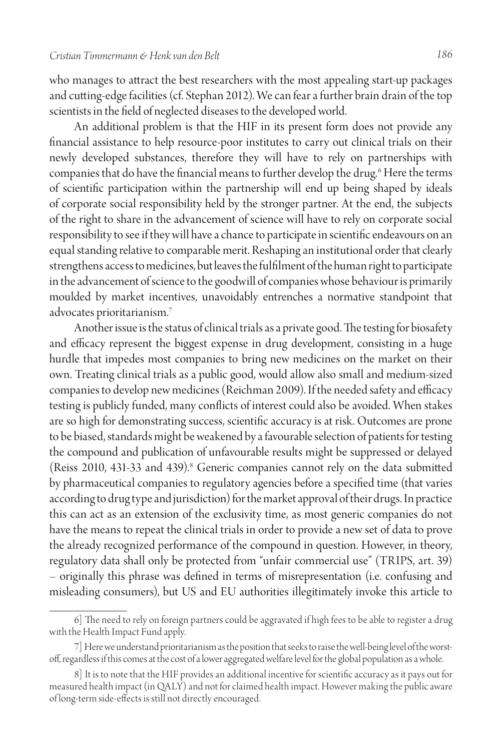who manages to attract the best researchers with the most appealing start-up packages and cutting-edge facilities (cf. Stephan 2012). We can fear a further brain drain of the top scientists in the field of neglected diseases to the developed world.

An additional problem is that the HIF in its present form does not provide any financial assistance to help resource-poor institutes to carry out clinical trials on their newly developed substances, therefore they will have to rely on partnerships with companies that do have the financial means to further develop the drug.<sup>6</sup> Here the terms of scientific participation within the partnership will end up being shaped by ideals of corporate social responsibility held by the stronger partner. At the end, the subjects of the right to share in the advancement of science will have to rely on corporate social responsibility to see if they will have a chance to participate in scientific endeavours on an equal standing relative to comparable merit. Reshaping an institutional order that clearly strengthens access to medicines, but leaves the fulfilment of the human right to participate in the advancement of science to the goodwill of companies whose behaviour is primarily moulded by market incentives, unavoidably entrenches a normative standpoint that advocates prioritarianism.7

Another issue is the status of clinical trials as a private good. The testing for biosafety and efficacy represent the biggest expense in drug development, consisting in a huge hurdle that impedes most companies to bring new medicines on the market on their own. Treating clinical trials as a public good, would allow also small and medium-sized companies to develop new medicines (Reichman 2009). If the needed safety and efficacy testing is publicly funded, many conflicts of interest could also be avoided. When stakes are so high for demonstrating success, scientific accuracy is at risk. Outcomes are prone to be biased, standards might be weakened by a favourable selection of patients for testing the compound and publication of unfavourable results might be suppressed or delayed (Reiss 2010, 431-33 and 439).<sup>8</sup> Generic companies cannot rely on the data submitted by pharmaceutical companies to regulatory agencies before a specified time (that varies according to drug type and jurisdiction) for the market approval of their drugs. In practice this can act as an extension of the exclusivity time, as most generic companies do not have the means to repeat the clinical trials in order to provide a new set of data to prove the already recognized performance of the compound in question. However, in theory, regulatory data shall only be protected from "unfair commercial use" (TRIPS, art. 39) – originally this phrase was defined in terms of misrepresentation (i.e. confusing and misleading consumers), but US and EU authorities illegitimately invoke this article to

<sup>6]</sup> The need to rely on foreign partners could be aggravated if high fees to be able to register a drug with the Health Impact Fund apply.

<sup>7]</sup> Here we understand prioritarianism as the position that seeks to raise the well-being level of the worstoff, regardless if this comes at the cost of a lower aggregated welfare level for the global population as a whole.

<sup>8]</sup> It is to note that the HIF provides an additional incentive for scientific accuracy as it pays out for measured health impact (in QALY) and not for claimed health impact. However making the public aware of long-term side-effects is still not directly encouraged.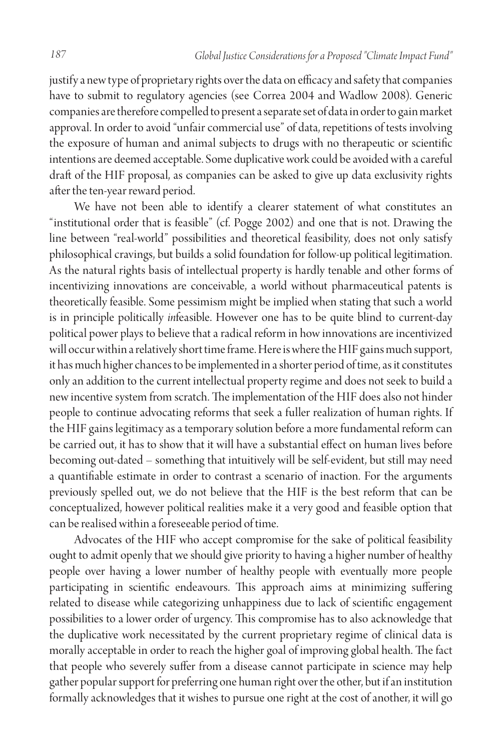justify a new type of proprietary rights over the data on efficacy and safety that companies have to submit to regulatory agencies (see Correa 2004 and Wadlow 2008). Generic companies are therefore compelled to present a separate set of data in order to gain market approval. In order to avoid "unfair commercial use" of data, repetitions of tests involving the exposure of human and animal subjects to drugs with no therapeutic or scientific intentions are deemed acceptable. Some duplicative work could be avoided with a careful draft of the HIF proposal, as companies can be asked to give up data exclusivity rights after the ten-year reward period.

We have not been able to identify a clearer statement of what constitutes an "institutional order that is feasible" (cf. Pogge 2002) and one that is not. Drawing the line between "real-world" possibilities and theoretical feasibility, does not only satisfy philosophical cravings, but builds a solid foundation for follow-up political legitimation. As the natural rights basis of intellectual property is hardly tenable and other forms of incentivizing innovations are conceivable, a world without pharmaceutical patents is theoretically feasible. Some pessimism might be implied when stating that such a world is in principle politically *in*feasible. However one has to be quite blind to current-day political power plays to believe that a radical reform in how innovations are incentivized will occur within a relatively short time frame. Here is where the HIF gains much support, it has much higher chances to be implemented in a shorter period of time, as it constitutes only an addition to the current intellectual property regime and does not seek to build a new incentive system from scratch. The implementation of the HIF does also not hinder people to continue advocating reforms that seek a fuller realization of human rights. If the HIF gains legitimacy as a temporary solution before a more fundamental reform can be carried out, it has to show that it will have a substantial effect on human lives before becoming out-dated – something that intuitively will be self-evident, but still may need a quantifiable estimate in order to contrast a scenario of inaction. For the arguments previously spelled out, we do not believe that the HIF is the best reform that can be conceptualized, however political realities make it a very good and feasible option that can be realised within a foreseeable period of time.

Advocates of the HIF who accept compromise for the sake of political feasibility ought to admit openly that we should give priority to having a higher number of healthy people over having a lower number of healthy people with eventually more people participating in scientific endeavours. This approach aims at minimizing suffering related to disease while categorizing unhappiness due to lack of scientific engagement possibilities to a lower order of urgency. This compromise has to also acknowledge that the duplicative work necessitated by the current proprietary regime of clinical data is morally acceptable in order to reach the higher goal of improving global health. The fact that people who severely suffer from a disease cannot participate in science may help gather popular support for preferring one human right over the other, but if an institution formally acknowledges that it wishes to pursue one right at the cost of another, it will go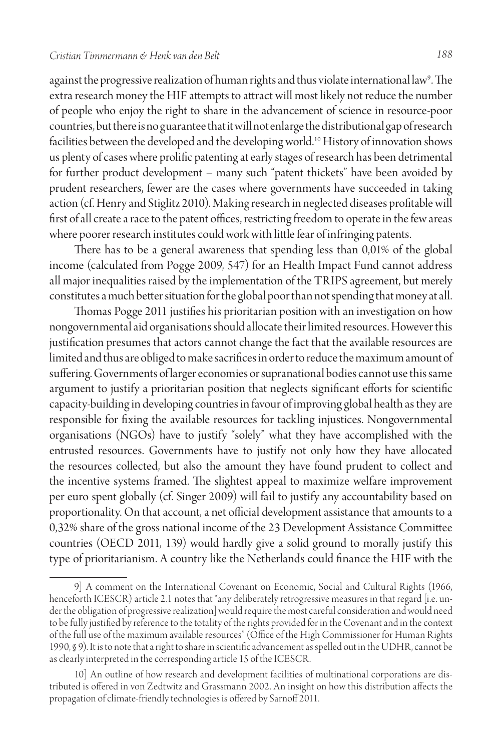against the progressive realization of human rights and thus violate international law<sup>9</sup>. The extra research money the HIF attempts to attract will most likely not reduce the number of people who enjoy the right to share in the advancement of science in resource-poor countries, but there is no guarantee that it will not enlarge the distributional gap of research facilities between the developed and the developing world.10 History of innovation shows us plenty of cases where prolific patenting at early stages of research has been detrimental for further product development – many such "patent thickets" have been avoided by prudent researchers, fewer are the cases where governments have succeeded in taking action (cf. Henry and Stiglitz 2010). Making research in neglected diseases profitable will first of all create a race to the patent offices, restricting freedom to operate in the few areas where poorer research institutes could work with little fear of infringing patents.

There has to be a general awareness that spending less than 0,01% of the global income (calculated from Pogge 2009, 547) for an Health Impact Fund cannot address all major inequalities raised by the implementation of the TRIPS agreement, but merely constitutes a much better situation for the global poor than not spending that money at all.

Thomas Pogge 2011 justifies his prioritarian position with an investigation on how nongovernmental aid organisations should allocate their limited resources. However this justification presumes that actors cannot change the fact that the available resources are limited and thus are obliged to make sacrifices in order to reduce the maximum amount of suffering. Governments of larger economies or supranational bodies cannot use this same argument to justify a prioritarian position that neglects significant efforts for scientific capacity-building in developing countries in favour of improving global health as they are responsible for fixing the available resources for tackling injustices. Nongovernmental organisations (NGOs) have to justify "solely" what they have accomplished with the entrusted resources. Governments have to justify not only how they have allocated the resources collected, but also the amount they have found prudent to collect and the incentive systems framed. The slightest appeal to maximize welfare improvement per euro spent globally (cf. Singer 2009) will fail to justify any accountability based on proportionality. On that account, a net official development assistance that amounts to a 0,32% share of the gross national income of the 23 Development Assistance Committee countries (OECD 2011, 139) would hardly give a solid ground to morally justify this type of prioritarianism. A country like the Netherlands could finance the HIF with the

<sup>9]</sup> A comment on the International Covenant on Economic, Social and Cultural Rights (1966, henceforth ICESCR) article 2.1 notes that "any deliberately retrogressive measures in that regard [i.e. under the obligation of progressive realization] would require the most careful consideration and would need to be fully justified by reference to the totality of the rights provided for in the Covenant and in the context of the full use of the maximum available resources" (Office of the High Commissioner for Human Rights 1990, § 9). It is to note that a right to share in scientific advancement as spelled out in the UDHR, cannot be as clearly interpreted in the corresponding article 15 of the ICESCR.

<sup>10]</sup> An outline of how research and development facilities of multinational corporations are distributed is offered in von Zedtwitz and Grassmann 2002. An insight on how this distribution affects the propagation of climate-friendly technologies is offered by Sarnoff 2011.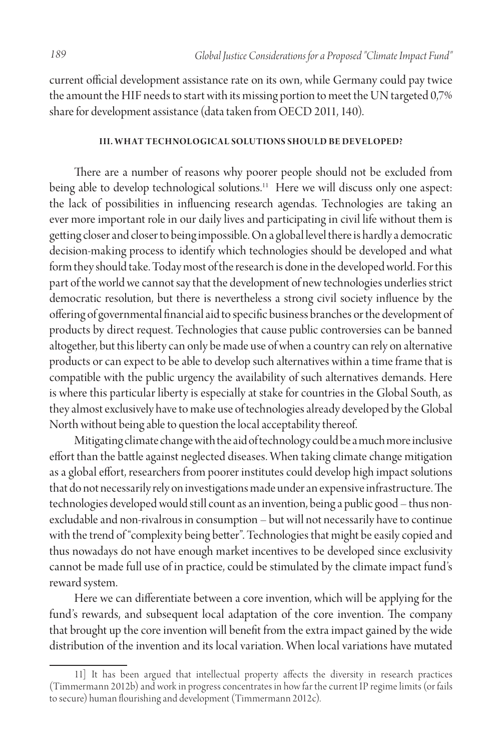current official development assistance rate on its own, while Germany could pay twice the amount the HIF needs to start with its missing portion to meet the UN targeted 0,7% share for development assistance (data taken from OECD 2011, 140).

#### **III. WHAT TECHNOLOGICAL SOLUTIONS SHOULD BE DEVELOPED?**

There are a number of reasons why poorer people should not be excluded from being able to develop technological solutions.<sup>11</sup> Here we will discuss only one aspect: the lack of possibilities in influencing research agendas. Technologies are taking an ever more important role in our daily lives and participating in civil life without them is getting closer and closer to being impossible. On a global level there is hardly a democratic decision-making process to identify which technologies should be developed and what form they should take. Today most of the research is done in the developed world. For this part of the world we cannot say that the development of new technologies underlies strict democratic resolution, but there is nevertheless a strong civil society influence by the offering of governmental financial aid to specific business branches or the development of products by direct request. Technologies that cause public controversies can be banned altogether, but this liberty can only be made use of when a country can rely on alternative products or can expect to be able to develop such alternatives within a time frame that is compatible with the public urgency the availability of such alternatives demands. Here is where this particular liberty is especially at stake for countries in the Global South, as they almost exclusively have to make use of technologies already developed by the Global North without being able to question the local acceptability thereof.

Mitigating climate change with the aid of technology could be a much more inclusive effort than the battle against neglected diseases. When taking climate change mitigation as a global effort, researchers from poorer institutes could develop high impact solutions that do not necessarily rely on investigations made under an expensive infrastructure. The technologies developed would still count as an invention, being a public good – thus nonexcludable and non-rivalrous in consumption – but will not necessarily have to continue with the trend of "complexity being better". Technologies that might be easily copied and thus nowadays do not have enough market incentives to be developed since exclusivity cannot be made full use of in practice, could be stimulated by the climate impact fund's reward system.

Here we can differentiate between a core invention, which will be applying for the fund's rewards, and subsequent local adaptation of the core invention. The company that brought up the core invention will benefit from the extra impact gained by the wide distribution of the invention and its local variation. When local variations have mutated

<sup>11]</sup> It has been argued that intellectual property affects the diversity in research practices (Timmermann 2012b) and work in progress concentrates in how far the current IP regime limits (or fails to secure) human flourishing and development (Timmermann 2012c).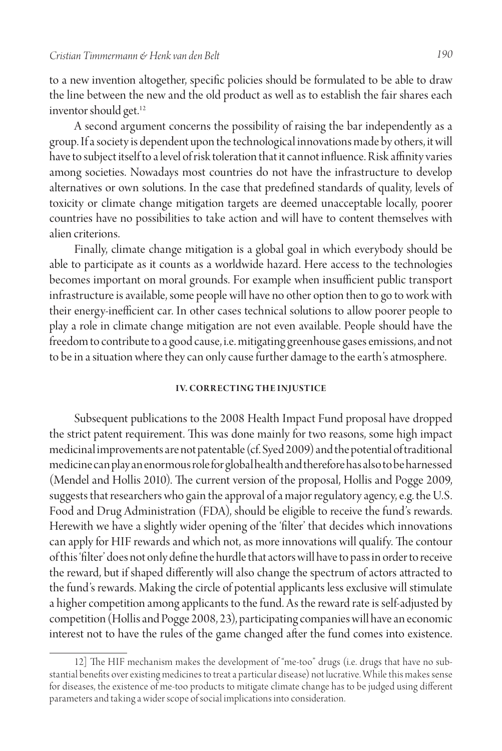to a new invention altogether, specific policies should be formulated to be able to draw the line between the new and the old product as well as to establish the fair shares each inventor should get.<sup>12</sup>

A second argument concerns the possibility of raising the bar independently as a group. If a society is dependent upon the technological innovations made by others, it will have to subject itself to a level of risk toleration that it cannot influence. Risk affinity varies among societies. Nowadays most countries do not have the infrastructure to develop alternatives or own solutions. In the case that predefined standards of quality, levels of toxicity or climate change mitigation targets are deemed unacceptable locally, poorer countries have no possibilities to take action and will have to content themselves with alien criterions.

Finally, climate change mitigation is a global goal in which everybody should be able to participate as it counts as a worldwide hazard. Here access to the technologies becomes important on moral grounds. For example when insufficient public transport infrastructure is available, some people will have no other option then to go to work with their energy-inefficient car. In other cases technical solutions to allow poorer people to play a role in climate change mitigation are not even available. People should have the freedom to contribute to a good cause, i.e. mitigating greenhouse gases emissions, and not to be in a situation where they can only cause further damage to the earth's atmosphere.

#### **IV. CORRECTING THE INJUSTICE**

Subsequent publications to the 2008 Health Impact Fund proposal have dropped the strict patent requirement. This was done mainly for two reasons, some high impact medicinal improvements are not patentable (cf. Syed 2009) and the potential of traditional medicine can play an enormous role for global health and therefore has also to be harnessed (Mendel and Hollis 2010). The current version of the proposal, Hollis and Pogge 2009, suggests that researchers who gain the approval of a major regulatory agency, e.g. the U.S. Food and Drug Administration (FDA), should be eligible to receive the fund's rewards. Herewith we have a slightly wider opening of the 'filter' that decides which innovations can apply for HIF rewards and which not, as more innovations will qualify. The contour of this 'filter' does not only define the hurdle that actors will have to pass in order to receive the reward, but if shaped differently will also change the spectrum of actors attracted to the fund's rewards. Making the circle of potential applicants less exclusive will stimulate a higher competition among applicants to the fund. As the reward rate is self-adjusted by competition (Hollis and Pogge 2008, 23), participating companies will have an economic interest not to have the rules of the game changed after the fund comes into existence.

<sup>12]</sup> The HIF mechanism makes the development of "me-too" drugs (i.e. drugs that have no substantial benefits over existing medicines to treat a particular disease) not lucrative. While this makes sense for diseases, the existence of me-too products to mitigate climate change has to be judged using different parameters and taking a wider scope of social implications into consideration.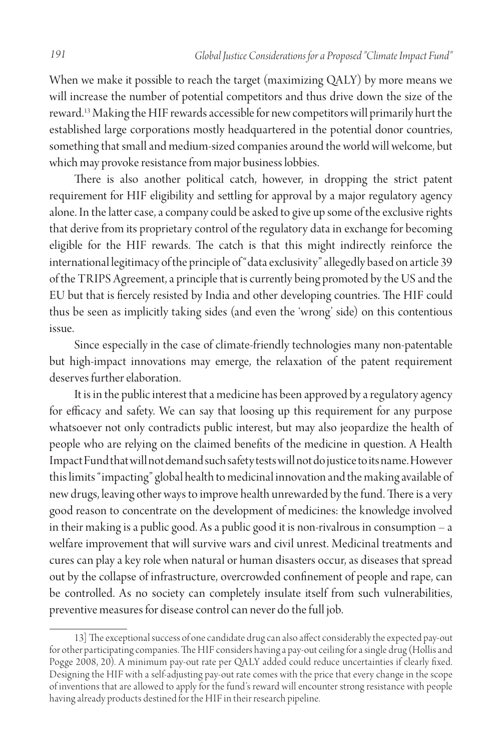When we make it possible to reach the target (maximizing QALY) by more means we will increase the number of potential competitors and thus drive down the size of the reward.13 Making the HIF rewards accessible for new competitors will primarily hurt the established large corporations mostly headquartered in the potential donor countries, something that small and medium-sized companies around the world will welcome, but which may provoke resistance from major business lobbies.

There is also another political catch, however, in dropping the strict patent requirement for HIF eligibility and settling for approval by a major regulatory agency alone. In the latter case, a company could be asked to give up some of the exclusive rights that derive from its proprietary control of the regulatory data in exchange for becoming eligible for the HIF rewards. The catch is that this might indirectly reinforce the international legitimacy of the principle of "data exclusivity" allegedly based on article 39 of the TRIPS Agreement, a principle that is currently being promoted by the US and the EU but that is fiercely resisted by India and other developing countries. The HIF could thus be seen as implicitly taking sides (and even the 'wrong' side) on this contentious issue.

Since especially in the case of climate-friendly technologies many non-patentable but high-impact innovations may emerge, the relaxation of the patent requirement deserves further elaboration.

It is in the public interest that a medicine has been approved by a regulatory agency for efficacy and safety. We can say that loosing up this requirement for any purpose whatsoever not only contradicts public interest, but may also jeopardize the health of people who are relying on the claimed benefits of the medicine in question. A Health Impact Fund that will not demand such safety tests will not do justice to its name. However this limits "impacting" global health to medicinal innovation and the making available of new drugs, leaving other ways to improve health unrewarded by the fund. There is a very good reason to concentrate on the development of medicines: the knowledge involved in their making is a public good. As a public good it is non-rivalrous in consumption – a welfare improvement that will survive wars and civil unrest. Medicinal treatments and cures can play a key role when natural or human disasters occur, as diseases that spread out by the collapse of infrastructure, overcrowded confinement of people and rape, can be controlled. As no society can completely insulate itself from such vulnerabilities, preventive measures for disease control can never do the full job.

<sup>13]</sup> The exceptional success of one candidate drug can also affect considerably the expected pay-out for other participating companies. The HIF considers having a pay-out ceiling for a single drug (Hollis and Pogge 2008, 20). A minimum pay-out rate per QALY added could reduce uncertainties if clearly fixed. Designing the HIF with a self-adjusting pay-out rate comes with the price that every change in the scope of inventions that are allowed to apply for the fund's reward will encounter strong resistance with people having already products destined for the HIF in their research pipeline.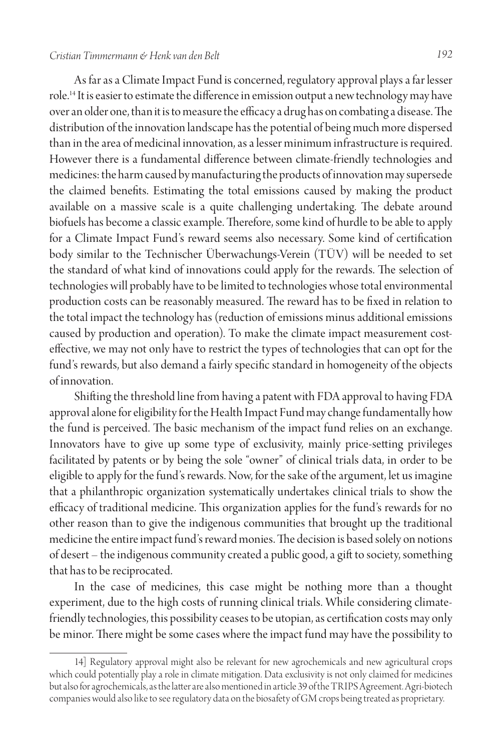# *Cristian Timmermann & Henk van den Belt 192*

As far as a Climate Impact Fund is concerned, regulatory approval plays a far lesser role.14 It is easier to estimate the difference in emission output a new technology may have over an older one, than it is to measure the efficacy a drug has on combating a disease. The distribution of the innovation landscape has the potential of being much more dispersed than in the area of medicinal innovation, as a lesser minimum infrastructure is required. However there is a fundamental difference between climate-friendly technologies and medicines: the harm caused by manufacturing the products of innovation may supersede the claimed benefits. Estimating the total emissions caused by making the product available on a massive scale is a quite challenging undertaking. The debate around biofuels has become a classic example. Therefore, some kind of hurdle to be able to apply for a Climate Impact Fund's reward seems also necessary. Some kind of certification body similar to the Technischer Überwachungs-Verein (TÜV) will be needed to set the standard of what kind of innovations could apply for the rewards. The selection of technologies will probably have to be limited to technologies whose total environmental production costs can be reasonably measured. The reward has to be fixed in relation to the total impact the technology has (reduction of emissions minus additional emissions caused by production and operation). To make the climate impact measurement costeffective, we may not only have to restrict the types of technologies that can opt for the fund's rewards, but also demand a fairly specific standard in homogeneity of the objects of innovation.

Shifting the threshold line from having a patent with FDA approval to having FDA approval alone for eligibility for the Health Impact Fund may change fundamentally how the fund is perceived. The basic mechanism of the impact fund relies on an exchange. Innovators have to give up some type of exclusivity, mainly price-setting privileges facilitated by patents or by being the sole "owner" of clinical trials data, in order to be eligible to apply for the fund's rewards. Now, for the sake of the argument, let us imagine that a philanthropic organization systematically undertakes clinical trials to show the efficacy of traditional medicine. This organization applies for the fund's rewards for no other reason than to give the indigenous communities that brought up the traditional medicine the entire impact fund's reward monies. The decision is based solely on notions of desert – the indigenous community created a public good, a gift to society, something that has to be reciprocated.

In the case of medicines, this case might be nothing more than a thought experiment, due to the high costs of running clinical trials. While considering climatefriendly technologies, this possibility ceases to be utopian, as certification costs may only be minor. There might be some cases where the impact fund may have the possibility to

<sup>14]</sup> Regulatory approval might also be relevant for new agrochemicals and new agricultural crops which could potentially play a role in climate mitigation. Data exclusivity is not only claimed for medicines but also for agrochemicals, as the latter are also mentioned in article 39 of the TRIPS Agreement. Agri-biotech companies would also like to see regulatory data on the biosafety of GM crops being treated as proprietary.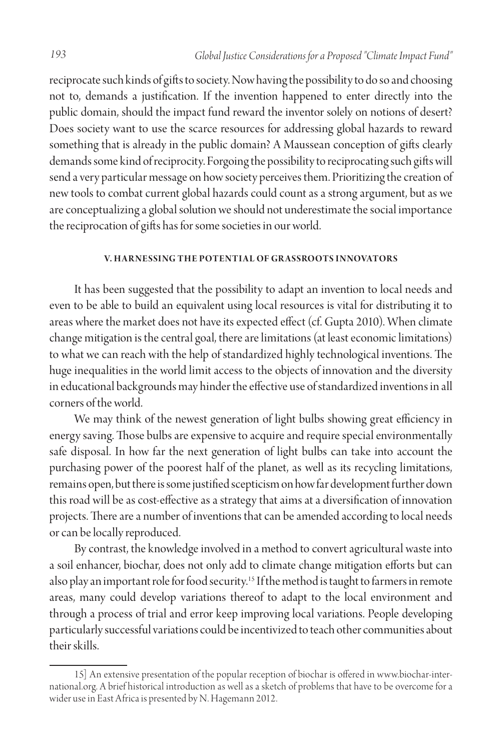reciprocate such kinds of gifts to society. Now having the possibility to do so and choosing not to, demands a justification. If the invention happened to enter directly into the public domain, should the impact fund reward the inventor solely on notions of desert? Does society want to use the scarce resources for addressing global hazards to reward something that is already in the public domain? A Maussean conception of gifts clearly demands some kind of reciprocity. Forgoing the possibility to reciprocating such gifts will send a very particular message on how society perceives them. Prioritizing the creation of new tools to combat current global hazards could count as a strong argument, but as we are conceptualizing a global solution we should not underestimate the social importance the reciprocation of gifts has for some societies in our world.

### **V. HARNESSING THE POTENTIAL OF GRASSROOTS INNOVATORS**

It has been suggested that the possibility to adapt an invention to local needs and even to be able to build an equivalent using local resources is vital for distributing it to areas where the market does not have its expected effect (cf. Gupta 2010). When climate change mitigation is the central goal, there are limitations (at least economic limitations) to what we can reach with the help of standardized highly technological inventions. The huge inequalities in the world limit access to the objects of innovation and the diversity in educational backgrounds may hinder the effective use of standardized inventions in all corners of the world.

We may think of the newest generation of light bulbs showing great efficiency in energy saving. Those bulbs are expensive to acquire and require special environmentally safe disposal. In how far the next generation of light bulbs can take into account the purchasing power of the poorest half of the planet, as well as its recycling limitations, remains open, but there is some justified scepticism on how far development further down this road will be as cost-effective as a strategy that aims at a diversification of innovation projects. There are a number of inventions that can be amended according to local needs or can be locally reproduced.

By contrast, the knowledge involved in a method to convert agricultural waste into a soil enhancer, biochar, does not only add to climate change mitigation efforts but can also play an important role for food security.<sup>15</sup> If the method is taught to farmers in remote areas, many could develop variations thereof to adapt to the local environment and through a process of trial and error keep improving local variations. People developing particularly successful variations could be incentivized to teach other communities about their skills.

<sup>15]</sup> An extensive presentation of the popular reception of biochar is offered in www.biochar-international.org. A brief historical introduction as well as a sketch of problems that have to be overcome for a wider use in East Africa is presented by N. Hagemann 2012.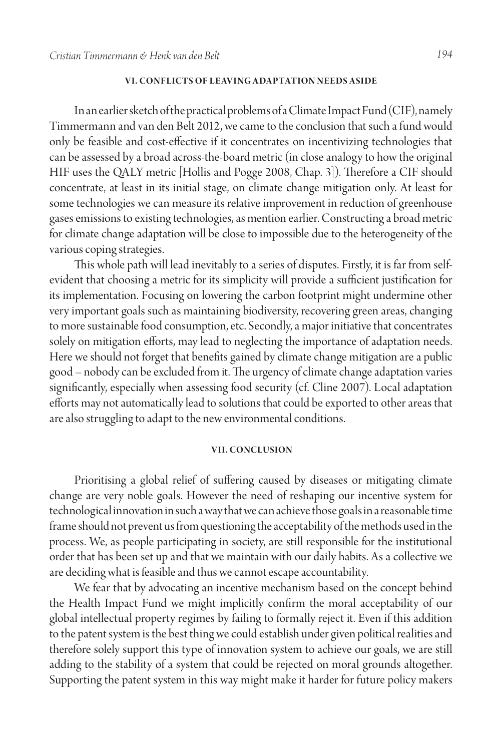#### **VI. Con flicts of le aving ada ptation needs a side**

In an earlier sketch of the practical problems of a Climate Impact Fund (CIF), namely Timmermann and van den Belt 2012, we came to the conclusion that such a fund would only be feasible and cost-effective if it concentrates on incentivizing technologies that can be assessed by a broad across-the-board metric (in close analogy to how the original HIF uses the QALY metric [Hollis and Pogge 2008, Chap. 3]). Therefore a CIF should concentrate, at least in its initial stage, on climate change mitigation only. At least for some technologies we can measure its relative improvement in reduction of greenhouse gases emissions to existing technologies, as mention earlier. Constructing a broad metric for climate change adaptation will be close to impossible due to the heterogeneity of the various coping strategies.

This whole path will lead inevitably to a series of disputes. Firstly, it is far from selfevident that choosing a metric for its simplicity will provide a sufficient justification for its implementation. Focusing on lowering the carbon footprint might undermine other very important goals such as maintaining biodiversity, recovering green areas, changing to more sustainable food consumption, etc. Secondly, a major initiative that concentrates solely on mitigation efforts, may lead to neglecting the importance of adaptation needs. Here we should not forget that benefits gained by climate change mitigation are a public good – nobody can be excluded from it. The urgency of climate change adaptation varies significantly, especially when assessing food security (cf. Cline 2007). Local adaptation efforts may not automatically lead to solutions that could be exported to other areas that are also struggling to adapt to the new environmental conditions.

#### **VII. Conclusion**

Prioritising a global relief of suffering caused by diseases or mitigating climate change are very noble goals. However the need of reshaping our incentive system for technological innovation in such a way that we can achieve those goals in a reasonable time frame should not prevent us from questioning the acceptability of the methods used in the process. We, as people participating in society, are still responsible for the institutional order that has been set up and that we maintain with our daily habits. As a collective we are deciding what is feasible and thus we cannot escape accountability.

We fear that by advocating an incentive mechanism based on the concept behind the Health Impact Fund we might implicitly confirm the moral acceptability of our global intellectual property regimes by failing to formally reject it. Even if this addition to the patent system is the best thing we could establish under given political realities and therefore solely support this type of innovation system to achieve our goals, we are still adding to the stability of a system that could be rejected on moral grounds altogether. Supporting the patent system in this way might make it harder for future policy makers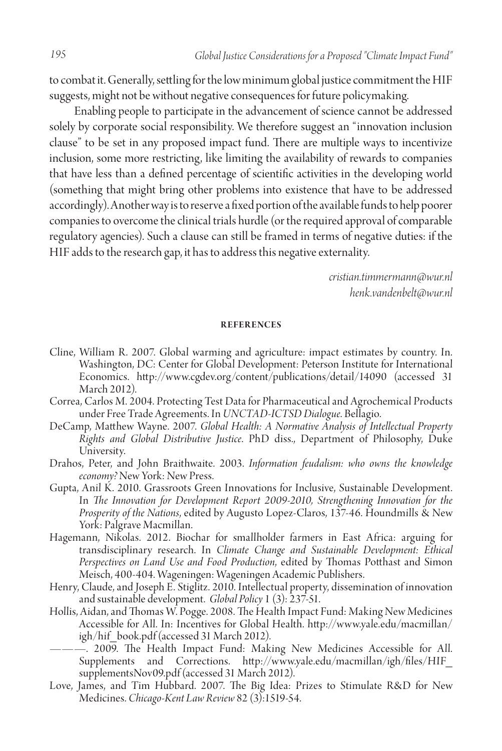to combat it. Generally, settling for the low minimum global justice commitment the HIF suggests, might not be without negative consequences for future policymaking.

Enabling people to participate in the advancement of science cannot be addressed solely by corporate social responsibility. We therefore suggest an "innovation inclusion clause" to be set in any proposed impact fund. There are multiple ways to incentivize inclusion, some more restricting, like limiting the availability of rewards to companies that have less than a defined percentage of scientific activities in the developing world (something that might bring other problems into existence that have to be addressed accordingly). Another way is to reserve a fixed portion of the available funds to help poorer companies to overcome the clinical trials hurdle (or the required approval of comparable regulatory agencies). Such a clause can still be framed in terms of negative duties: if the HIF adds to the research gap, it has to address this negative externality.

> *cristian.timmermann@wur.nl henk.vandenbelt@wur.nl*

# **Refer ences**

- Cline, William R. 2007. Global warming and agriculture: impact estimates by country. In. Washington, DC: Center for Global Development: Peterson Institute for International Economics. http://www.cgdev.org/content/publications/detail/14090 (accessed 31 March 2012).
- Correa, Carlos M. 2004. Protecting Test Data for Pharmaceutical and Agrochemical Products under Free Trade Agreements. In *UNCTAD-ICTSD Dialogue*. Bellagio.
- DeCamp, Matthew Wayne. 2007. *Global Health: A Normative Analysis of Intellectual Property Rights and Global Distributive Justice*. PhD diss., Department of Philosophy, Duke University.
- Drahos, Peter, and John Braithwaite. 2003. *Information feudalism: who owns the knowledge economy?* New York: New Press.
- Gupta, Anil K. 2010. Grassroots Green Innovations for Inclusive, Sustainable Development. In *The Innovation for Development Report 2009-2010, Strengthening Innovation for the Prosperity of the Nations*, edited by Augusto Lopez-Claros, 137-46. Houndmills & New York: Palgrave Macmillan.
- Hagemann, Nikolas. 2012. Biochar for smallholder farmers in East Africa: arguing for transdisciplinary research. In *Climate Change and Sustainable Development: Ethical Perspectives on Land Use and Food Production*, edited by Thomas Potthast and Simon Meisch, 400-404. Wageningen: Wageningen Academic Publishers.
- Henry, Claude, and Joseph E. Stiglitz. 2010. Intellectual property, dissemination of innovation and sustainable development. *Global Policy* 1 (3): 237-51.
- Hollis, Aidan, and Thomas W. Pogge. 2008. The Health Impact Fund: Making New Medicines Accessible for All. In: Incentives for Global Health. http://www.yale.edu/macmillan/ igh/hif\_book.pdf (accessed 31 March 2012).
	- ———. 2009. The Health Impact Fund: Making New Medicines Accessible for All. Supplements and Corrections. http://www.yale.edu/macmillan/igh/files/HIF\_ supplementsNov09.pdf (accessed 31 March 2012).
- Love, James, and Tim Hubbard. 2007. The Big Idea: Prizes to Stimulate R&D for New Medicines. *Chicago-Kent Law Review* 82 (3):1519-54.